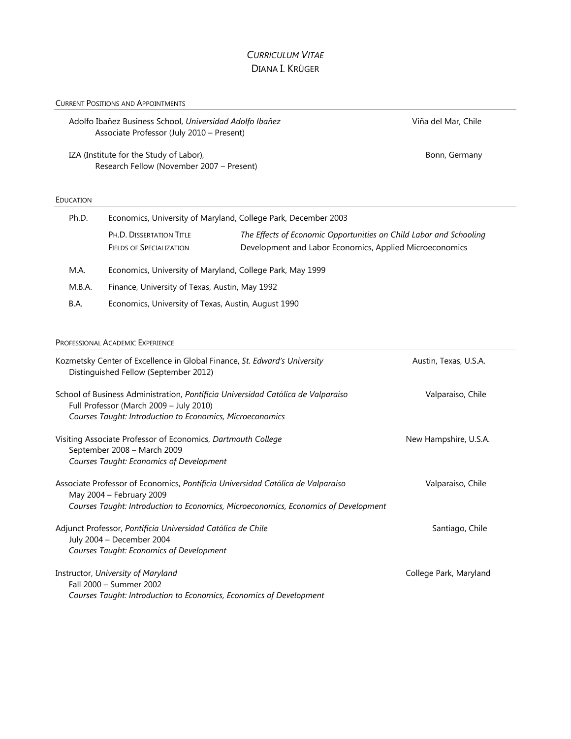# *CURRICULUM VITAE* DIANA I. KRÜGER

## CURRENT POSITIONS AND APPOINTMENTS

| Adolfo Ibañez Business School, Universidad Adolfo Ibañez<br>Associate Professor (July 2010 - Present)<br>IZA (Institute for the Study of Labor),<br>Research Fellow (November 2007 - Present) |                                                                                                                    |                                                                                                                               | Viña del Mar, Chile<br>Bonn, Germany |                  |
|-----------------------------------------------------------------------------------------------------------------------------------------------------------------------------------------------|--------------------------------------------------------------------------------------------------------------------|-------------------------------------------------------------------------------------------------------------------------------|--------------------------------------|------------------|
|                                                                                                                                                                                               |                                                                                                                    |                                                                                                                               |                                      | <b>EDUCATION</b> |
| Ph.D.                                                                                                                                                                                         | Economics, University of Maryland, College Park, December 2003                                                     |                                                                                                                               |                                      |                  |
|                                                                                                                                                                                               | PH.D. DISSERTATION TITLE<br><b>FIELDS OF SPECIALIZATION</b>                                                        | The Effects of Economic Opportunities on Child Labor and Schooling<br>Development and Labor Economics, Applied Microeconomics |                                      |                  |
| M.A.                                                                                                                                                                                          | Economics, University of Maryland, College Park, May 1999                                                          |                                                                                                                               |                                      |                  |
| M.B.A.                                                                                                                                                                                        | Finance, University of Texas, Austin, May 1992                                                                     |                                                                                                                               |                                      |                  |
| B.A.                                                                                                                                                                                          | Economics, University of Texas, Austin, August 1990                                                                |                                                                                                                               |                                      |                  |
|                                                                                                                                                                                               | PROFESSIONAL ACADEMIC EXPERIENCE                                                                                   |                                                                                                                               |                                      |                  |
|                                                                                                                                                                                               | Kozmetsky Center of Excellence in Global Finance, St. Edward's University<br>Distinguished Fellow (September 2012) |                                                                                                                               | Austin, Texas, U.S.A.                |                  |
|                                                                                                                                                                                               | Full Professor (March 2009 - July 2010)<br>Courses Taught: Introduction to Economics, Microeconomics               | School of Business Administration, Pontificia Universidad Católica de Valparaíso                                              | Valparaíso, Chile                    |                  |
|                                                                                                                                                                                               | Visiting Associate Professor of Economics Dartmouth College                                                        |                                                                                                                               | New Hamnshire IIS A                  |                  |

| Distinguished Fellow (September 2012)                                                                                                                                                              |                        |
|----------------------------------------------------------------------------------------------------------------------------------------------------------------------------------------------------|------------------------|
| School of Business Administration, Pontificia Universidad Católica de Valparaíso<br>Full Professor (March 2009 - July 2010)<br>Courses Taught: Introduction to Economics, Microeconomics           | Valparaíso, Chile      |
| Visiting Associate Professor of Economics, Dartmouth College<br>September 2008 - March 2009<br>Courses Taught: Economics of Development                                                            | New Hampshire, U.S.A.  |
| Associate Professor of Economics, Pontificia Universidad Católica de Valparaíso<br>May 2004 – February 2009<br>Courses Taught: Introduction to Economics, Microeconomics, Economics of Development | Valparaíso, Chile      |
| Adjunct Professor, Pontificia Universidad Católica de Chile<br>July 2004 - December 2004<br>Courses Taught: Economics of Development                                                               | Santiago, Chile        |
| Instructor, University of Maryland<br>Fall 2000 - Summer 2002<br>Courses Taught: Introduction to Economics, Economics of Development                                                               | College Park, Maryland |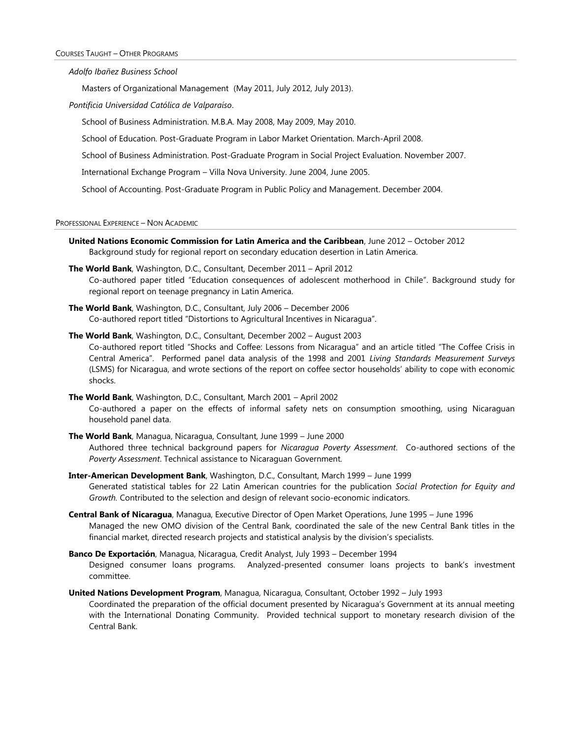*Adolfo Ibañez Business School*

Masters of Organizational Management (May 2011, July 2012, July 2013).

*Pontificia Universidad Católica de Valparaíso*.

School of Business Administration. M.B.A. May 2008, May 2009, May 2010.

School of Education. Post-Graduate Program in Labor Market Orientation. March-April 2008.

School of Business Administration. Post-Graduate Program in Social Project Evaluation. November 2007.

International Exchange Program – Villa Nova University. June 2004, June 2005.

School of Accounting. Post-Graduate Program in Public Policy and Management. December 2004.

PROFESSIONAL EXPERIENCE – NON ACADEMIC

- **United Nations Economic Commission for Latin America and the Caribbean**, June 2012 October 2012 Background study for regional report on secondary education desertion in Latin America.
- **The World Bank**, Washington, D.C., Consultant, December 2011 April 2012 Co-authored paper titled "Education consequences of adolescent motherhood in Chile". Background study for regional report on teenage pregnancy in Latin America.
- **The World Bank**, Washington, D.C., Consultant, July 2006 December 2006 Co-authored report titled "Distortions to Agricultural Incentives in Nicaragua".

**The World Bank**, Washington, D.C., Consultant, December 2002 – August 2003 Co-authored report titled "Shocks and Coffee: Lessons from Nicaragua" and an article titled "The Coffee Crisis in Central America". Performed panel data analysis of the 1998 and 2001 *Living Standards Measurement Surveys* (LSMS) for Nicaragua, and wrote sections of the report on coffee sector households' ability to cope with economic shocks.

- **The World Bank**, Washington, D.C., Consultant, March 2001 April 2002 Co-authored a paper on the effects of informal safety nets on consumption smoothing, using Nicaraguan household panel data.
- **The World Bank**, Managua, Nicaragua, Consultant, June 1999 June 2000 Authored three technical background papers for *Nicaragua Poverty Assessment*. Co-authored sections of the *Poverty Assessment*. Technical assistance to Nicaraguan Government*.*
- **Inter-American Development Bank**, Washington, D.C., Consultant, March 1999 June 1999 Generated statistical tables for 22 Latin American countries for the publication *Social Protection for Equity and Growth.* Contributed to the selection and design of relevant socio-economic indicators.
- **Central Bank of Nicaragua**, Managua, Executive Director of Open Market Operations, June 1995 June 1996 Managed the new OMO division of the Central Bank, coordinated the sale of the new Central Bank titles in the financial market, directed research projects and statistical analysis by the division's specialists.
- **Banco De Exportación**, Managua, Nicaragua, Credit Analyst, July 1993 December 1994 Designed consumer loans programs. Analyzed-presented consumer loans projects to bank's investment committee.

**United Nations Development Program**, Managua, Nicaragua, Consultant, October 1992 – July 1993 Coordinated the preparation of the official document presented by Nicaragua's Government at its annual meeting with the International Donating Community. Provided technical support to monetary research division of the Central Bank.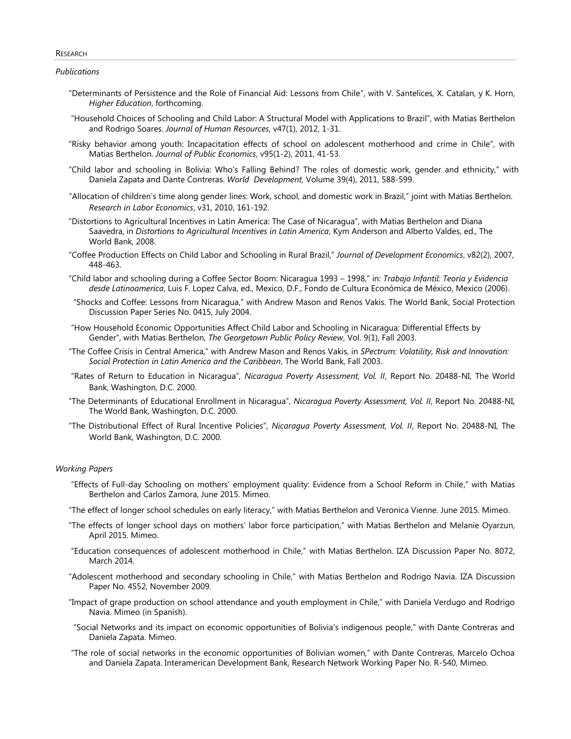#### RESEARCH

*Publications*

- "Determinants of Persistence and the Role of Financial Aid: Lessons from Chile", with V. Santelices, X. Catalan, y K. Horn, *Higher Education*, forthcoming.
- "Household Choices of Schooling and Child Labor: A Structural Model with Applications to Brazil", with Matias Berthelon and Rodrigo Soares. *Journal of Human Resources*, v47(1), 2012, 1-31.
- "Risky behavior among youth: Incapacitation effects of school on adolescent motherhood and crime in Chile", with Matias Berthelon. *Journal of Public Economics*, v95(1-2), 2011, 41-53.
- "Child labor and schooling in Bolivia: Who's Falling Behind? The roles of domestic work, gender and ethnicity," with Daniela Zapata and Dante Contreras. *World Development,* Volume 39(4), 2011, 588-599.
- "Allocation of children's time along gender lines: Work, school, and domestic work in Brazil," joint with Matias Berthelon. *Research in Labor Economics*, v31, 2010, 161-192.
- "Distortions to Agricultural Incentives in Latin America: The Case of Nicaragua", with Matias Berthelon and Diana Saavedra, in *Distortions to Agricultural Incentives in Latin America*, Kym Anderson and Alberto Valdes, ed., The World Bank, 2008.
- "Coffee Production Effects on Child Labor and Schooling in Rural Brazil," *Journal of Development Economics*, v82(2), 2007, 448-463.
- "Child labor and schooling during a Coffee Sector Boom: Nicaragua 1993 1998," in: *Trabajo Infantil: Teoría y Evidencia desde Latinoamerica*, Luis F. Lopez Calva, ed., Mexico, D.F., Fondo de Cultura Económica de México, Mexico (2006).
- "Shocks and Coffee: Lessons from Nicaragua," with Andrew Mason and Renos Vakis. The World Bank, Social Protection Discussion Paper Series No. 0415, July 2004.
- "How Household Economic Opportunities Affect Child Labor and Schooling in Nicaragua: Differential Effects by Gender", with Matias Berthelon, *The Georgetown Public Policy Review*, Vol. 9(1), Fall 2003.
- "The Coffee Crisis in Central America," with Andrew Mason and Renos Vakis, in *SPectrum: Volatility, Risk and Innovation: Social Protection in Latin America and the Caribbean*, The World Bank, Fall 2003.
- "Rates of Return to Education in Nicaragua", *Nicaragua Poverty Assessment, Vol. II*, Report No. 20488-NI, The World Bank, Washington, D.C. 2000.
- "The Determinants of Educational Enrollment in Nicaragua", *Nicaragua Poverty Assessment, Vol. II*, Report No. 20488-NI, The World Bank, Washington, D.C. 2000.
- "The Distributional Effect of Rural Incentive Policies", *Nicaragua Poverty Assessment, Vol. II*, Report No. 20488-NI, The World Bank, Washington, D.C. 2000.

## *Working Papers*

- "Effects of Full-day Schooling on mothers' employment quality: Evidence from a School Reform in Chile," with Matias Berthelon and Carlos Zamora, June 2015. Mimeo.
- "The effect of longer school schedules on early literacy," with Matias Berthelon and Veronica Vienne. June 2015. Mimeo.
- "The effects of longer school days on mothers' labor force participation," with Matias Berthelon and Melanie Oyarzun, April 2015. Mimeo.
- "Education consequences of adolescent motherhood in Chile," with Matias Berthelon. IZA Discussion Paper No. 8072, March 2014.
- "Adolescent motherhood and secondary schooling in Chile," with Matias Berthelon and Rodrigo Navia. IZA Discussion Paper No. 4552, November 2009.
- "Impact of grape production on school attendance and youth employment in Chile," with Daniela Verdugo and Rodrigo Navia. Mimeo (in Spanish).
- "Social Networks and its impact on economic opportunities of Bolivia's indigenous people," with Dante Contreras and Daniela Zapata. Mimeo.
- "The role of social networks in the economic opportunities of Bolivian women," with Dante Contreras, Marcelo Ochoa and Daniela Zapata. Interamerican Development Bank, Research Network Working Paper No. R-540, Mimeo.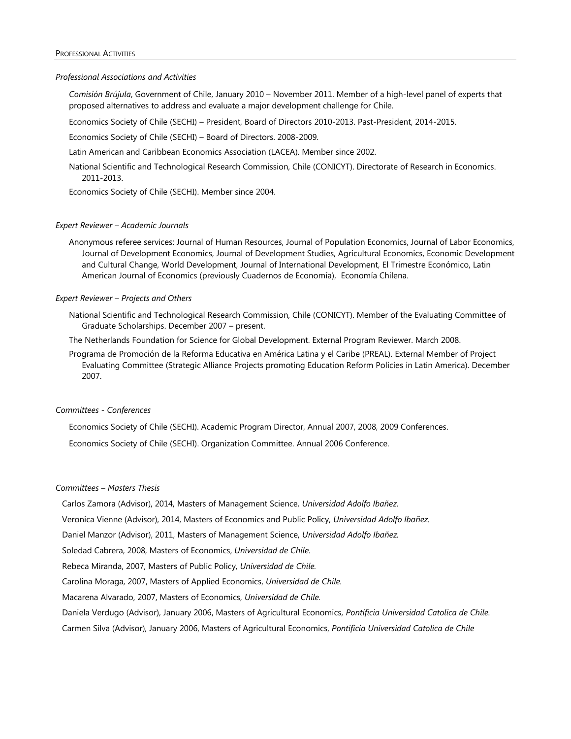#### PROFESSIONAL ACTIVITIES

#### *Professional Associations and Activities*

*Comisión Brújula*, Government of Chile, January 2010 – November 2011. Member of a high-level panel of experts that proposed alternatives to address and evaluate a major development challenge for Chile.

Economics Society of Chile (SECHI) – President, Board of Directors 2010-2013. Past-President, 2014-2015.

Economics Society of Chile (SECHI) – Board of Directors. 2008-2009.

Latin American and Caribbean Economics Association (LACEA). Member since 2002.

National Scientific and Technological Research Commission, Chile (CONICYT). Directorate of Research in Economics. 2011-2013.

Economics Society of Chile (SECHI). Member since 2004.

## *Expert Reviewer – Academic Journals*

Anonymous referee services: Journal of Human Resources, Journal of Population Economics, Journal of Labor Economics, Journal of Development Economics, Journal of Development Studies, Agricultural Economics, Economic Development and Cultural Change, World Development, Journal of International Development, El Trimestre Económico, Latin American Journal of Economics (previously Cuadernos de Economía), Economía Chilena.

## *Expert Reviewer – Projects and Others*

National Scientific and Technological Research Commission, Chile (CONICYT). Member of the Evaluating Committee of Graduate Scholarships. December 2007 – present.

The Netherlands Foundation for Science for Global Development. External Program Reviewer. March 2008.

Programa de Promoción de la Reforma Educativa en América Latina y el Caribe (PREAL). External Member of Project Evaluating Committee (Strategic Alliance Projects promoting Education Reform Policies in Latin America). December 2007.

## *Committees - Conferences*

Economics Society of Chile (SECHI). Academic Program Director, Annual 2007, 2008, 2009 Conferences.

Economics Society of Chile (SECHI). Organization Committee. Annual 2006 Conference.

## *Committees – Masters Thesis*

Carlos Zamora (Advisor), 2014, Masters of Management Science, *Universidad Adolfo Ibañez.*

Veronica Vienne (Advisor), 2014, Masters of Economics and Public Policy, *Universidad Adolfo Ibañez.*

Daniel Manzor (Advisor), 2011, Masters of Management Science, *Universidad Adolfo Ibañez.*

Soledad Cabrera, 2008, Masters of Economics, *Universidad de Chile.*

Rebeca Miranda, 2007, Masters of Public Policy, *Universidad de Chile.*

Carolina Moraga, 2007, Masters of Applied Economics, *Universidad de Chile.*

Macarena Alvarado, 2007, Masters of Economics, *Universidad de Chile.*

Daniela Verdugo (Advisor), January 2006, Masters of Agricultural Economics, *Pontificia Universidad Catolica de Chile.*

Carmen Silva (Advisor), January 2006, Masters of Agricultural Economics, *Pontificia Universidad Catolica de Chile*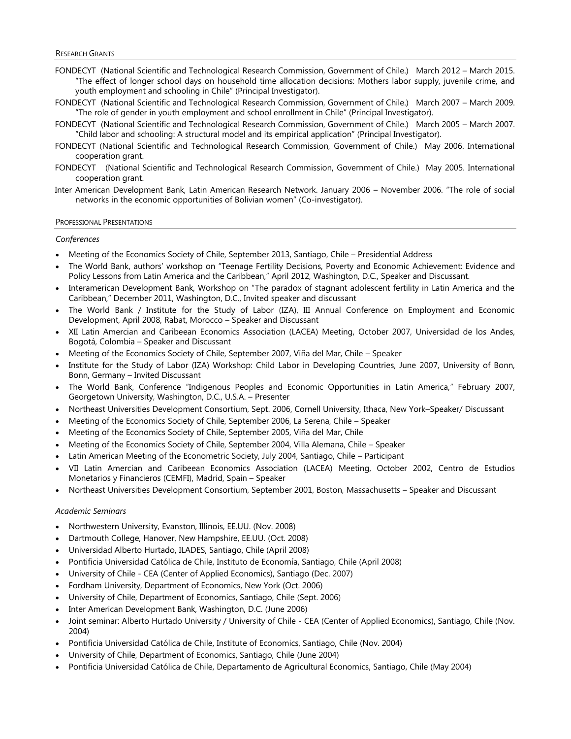- FONDECYT (National Scientific and Technological Research Commission, Government of Chile.) March 2012 March 2015. "The effect of longer school days on household time allocation decisions: Mothers labor supply, juvenile crime, and youth employment and schooling in Chile" (Principal Investigator).
- FONDECYT (National Scientific and Technological Research Commission, Government of Chile.) March 2007 March 2009. "The role of gender in youth employment and school enrollment in Chile" (Principal Investigator).
- FONDECYT (National Scientific and Technological Research Commission, Government of Chile.) March 2005 March 2007. "Child labor and schooling: A structural model and its empirical application" (Principal Investigator).
- FONDECYT (National Scientific and Technological Research Commission, Government of Chile.) May 2006. International cooperation grant.
- FONDECYT (National Scientific and Technological Research Commission, Government of Chile.) May 2005. International cooperation grant.
- Inter American Development Bank, Latin American Research Network. January 2006 November 2006. "The role of social networks in the economic opportunities of Bolivian women" (Co-investigator).

#### PROFESSIONAL PRESENTATIONS

#### *Conferences*

- Meeting of the Economics Society of Chile, September 2013, Santiago, Chile Presidential Address
- The World Bank, authors' workshop on "Teenage Fertility Decisions, Poverty and Economic Achievement: Evidence and Policy Lessons from Latin America and the Caribbean," April 2012, Washington, D.C., Speaker and Discussant.
- Interamerican Development Bank, Workshop on "The paradox of stagnant adolescent fertility in Latin America and the Caribbean," December 2011, Washington, D.C., Invited speaker and discussant
- The World Bank / Institute for the Study of Labor (IZA), III Annual Conference on Employment and Economic Development, April 2008, Rabat, Morocco – Speaker and Discussant
- XII Latin Amercian and Caribeean Economics Association (LACEA) Meeting, October 2007, Universidad de los Andes, Bogotá, Colombia – Speaker and Discussant
- Meeting of the Economics Society of Chile, September 2007, Viña del Mar, Chile Speaker
- Institute for the Study of Labor (IZA) Workshop: Child Labor in Developing Countries, June 2007, University of Bonn, Bonn, Germany – Invited Discussant
- The World Bank, Conference "Indigenous Peoples and Economic Opportunities in Latin America," February 2007, Georgetown University, Washington, D.C., U.S.A. – Presenter
- Northeast Universities Development Consortium, Sept. 2006, Cornell University, Ithaca, New York–Speaker/ Discussant
- Meeting of the Economics Society of Chile, September 2006, La Serena, Chile Speaker
- Meeting of the Economics Society of Chile, September 2005, Viña del Mar, Chile
- Meeting of the Economics Society of Chile, September 2004, Villa Alemana, Chile Speaker
- Latin American Meeting of the Econometric Society, July 2004, Santiago, Chile Participant
- VII Latin Amercian and Caribeean Economics Association (LACEA) Meeting, October 2002, Centro de Estudios Monetarios y Financieros (CEMFI), Madrid, Spain – Speaker
- Northeast Universities Development Consortium, September 2001, Boston, Massachusetts Speaker and Discussant

#### *Academic Seminars*

- Northwestern University, Evanston, Illinois, EE.UU. (Nov. 2008)
- Dartmouth College, Hanover, New Hampshire, EE.UU. (Oct. 2008)
- Universidad Alberto Hurtado, ILADES, Santiago, Chile (April 2008)
- Pontificia Universidad Católica de Chile, Instituto de Economía, Santiago, Chile (April 2008)
- University of Chile CEA (Center of Applied Economics), Santiago (Dec. 2007)
- Fordham University, Department of Economics, New York (Oct. 2006)
- University of Chile, Department of Economics, Santiago, Chile (Sept. 2006)
- Inter American Development Bank, Washington, D.C. (June 2006)
- Joint seminar: Alberto Hurtado University / University of Chile CEA (Center of Applied Economics), Santiago, Chile (Nov. 2004)
- Pontificia Universidad Católica de Chile, Institute of Economics, Santiago, Chile (Nov. 2004)
- University of Chile, Department of Economics, Santiago, Chile (June 2004)
- Pontificia Universidad Católica de Chile, Departamento de Agricultural Economics, Santiago, Chile (May 2004)